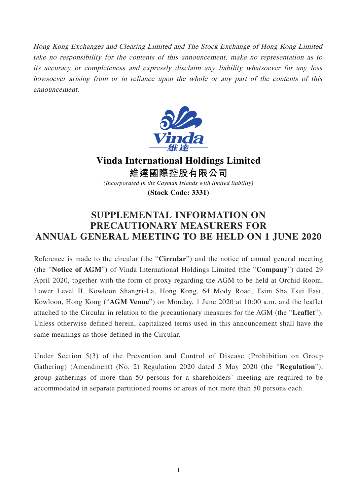Hong Kong Exchanges and Clearing Limited and The Stock Exchange of Hong Kong Limited take no responsibility for the contents of this announcement, make no representation as to its accuracy or completeness and expressly disclaim any liability whatsoever for any loss howsoever arising from or in reliance upon the whole or any part of the contents of this announcement.



**Vinda International Holdings Limited 維達國際控股有限公司** *(Incorporated in the Cayman Islands with limited liability)*

**(Stock Code: 3331)**

## **SUPPLEMENTAL INFORMATION ON PRECAUTIONARY MEASURERS FOR ANNUAL GENERAL MEETING TO BE HELD ON 1 JUNE 2020**

Reference is made to the circular (the "**Circular**") and the notice of annual general meeting (the "**Notice of AGM**") of Vinda International Holdings Limited (the "**Company**") dated 29 April 2020, together with the form of proxy regarding the AGM to be held at Orchid Room, Lower Level II, Kowloon Shangri-La, Hong Kong, 64 Mody Road, Tsim Sha Tsui East, Kowloon, Hong Kong ("**AGM Venue**") on Monday, 1 June 2020 at 10:00 a.m. and the leaflet attached to the Circular in relation to the precautionary measures for the AGM (the "**Leaflet**"). Unless otherwise defined herein, capitalized terms used in this announcement shall have the same meanings as those defined in the Circular.

Under Section 5(3) of the Prevention and Control of Disease (Prohibition on Group Gathering) (Amendment) (No. 2) Regulation 2020 dated 5 May 2020 (the "**Regulation**"), group gatherings of more than 50 persons for a shareholders' meeting are required to be accommodated in separate partitioned rooms or areas of not more than 50 persons each.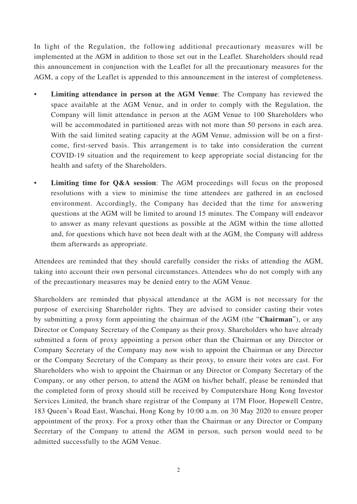In light of the Regulation, the following additional precautionary measures will be implemented at the AGM in addition to those set out in the Leaflet. Shareholders should read this announcement in conjunction with the Leaflet for all the precautionary measures for the AGM, a copy of the Leaflet is appended to this announcement in the interest of completeness.

- **Limiting attendance in person at the AGM Venue**: The Company has reviewed the space available at the AGM Venue, and in order to comply with the Regulation, the Company will limit attendance in person at the AGM Venue to 100 Shareholders who will be accommodated in partitioned areas with not more than 50 persons in each area. With the said limited seating capacity at the AGM Venue, admission will be on a firstcome, first-served basis. This arrangement is to take into consideration the current COVID-19 situation and the requirement to keep appropriate social distancing for the health and safety of the Shareholders.
- **Limiting time for Q&A session**: The AGM proceedings will focus on the proposed resolutions with a view to minimise the time attendees are gathered in an enclosed environment. Accordingly, the Company has decided that the time for answering questions at the AGM will be limited to around 15 minutes. The Company will endeavor to answer as many relevant questions as possible at the AGM within the time allotted and, for questions which have not been dealt with at the AGM, the Company will address them afterwards as appropriate.

Attendees are reminded that they should carefully consider the risks of attending the AGM, taking into account their own personal circumstances. Attendees who do not comply with any of the precautionary measures may be denied entry to the AGM Venue.

Shareholders are reminded that physical attendance at the AGM is not necessary for the purpose of exercising Shareholder rights. They are advised to consider casting their votes by submitting a proxy form appointing the chairman of the AGM (the "**Chairman**"), or any Director or Company Secretary of the Company as their proxy. Shareholders who have already submitted a form of proxy appointing a person other than the Chairman or any Director or Company Secretary of the Company may now wish to appoint the Chairman or any Director or the Company Secretary of the Company as their proxy, to ensure their votes are cast. For Shareholders who wish to appoint the Chairman or any Director or Company Secretary of the Company, or any other person, to attend the AGM on his/her behalf, please be reminded that the completed form of proxy should still be received by Computershare Hong Kong Investor Services Limited, the branch share registrar of the Company at 17M Floor, Hopewell Centre, 183 Queen's Road East, Wanchai, Hong Kong by 10:00 a.m. on 30 May 2020 to ensure proper appointment of the proxy. For a proxy other than the Chairman or any Director or Company Secretary of the Company to attend the AGM in person, such person would need to be admitted successfully to the AGM Venue.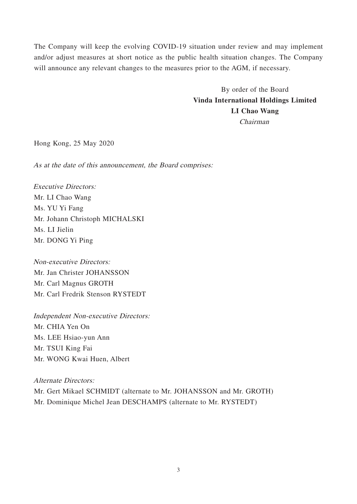The Company will keep the evolving COVID-19 situation under review and may implement and/or adjust measures at short notice as the public health situation changes. The Company will announce any relevant changes to the measures prior to the AGM, if necessary.

> By order of the Board **Vinda International Holdings Limited LI Chao Wang** Chairman

Hong Kong, 25 May 2020

As at the date of this announcement, the Board comprises:

Executive Directors: Mr. LI Chao Wang Ms. YU Yi Fang Mr. Johann Christoph MICHALSKI Ms. LI Jielin Mr. DONG Yi Ping

Non-executive Directors: Mr. Jan Christer JOHANSSON Mr. Carl Magnus GROTH Mr. Carl Fredrik Stenson RYSTEDT

Independent Non-executive Directors: Mr. CHIA Yen On Ms. LEE Hsiao-yun Ann Mr. TSUI King Fai Mr. WONG Kwai Huen, Albert

Alternate Directors:

Mr. Gert Mikael SCHMIDT (alternate to Mr. JOHANSSON and Mr. GROTH) Mr. Dominique Michel Jean DESCHAMPS (alternate to Mr. RYSTEDT)